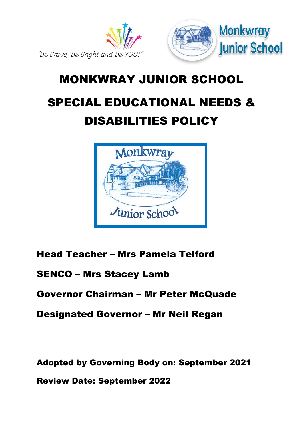

# MONKWRAY JUNIOR SCHOOL SPECIAL EDUCATIONAL NEEDS & DISABILITIES POLICY



Head Teacher – Mrs Pamela Telford

SENCO – Mrs Stacey Lamb

Governor Chairman – Mr Peter McQuade

Designated Governor – Mr Neil Regan

Adopted by Governing Body on: September 2021

Review Date: September 2022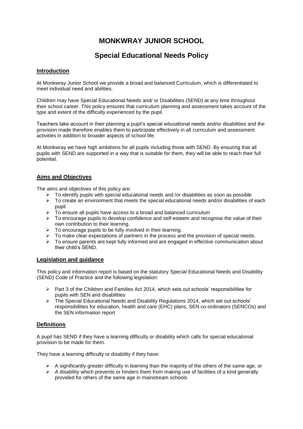# **MONKWRAY JUNIOR SCHOOL**

# **Special Educational Needs Policy**

# **Introduction**

At Monkwray Junior School we provide a broad and balanced Curriculum, which is differentiated to meet individual need and abilities.

Children may have Special Educational Needs and/ or Disabilities (SEND) at any time throughout their school career. This policy ensures that curriculum planning and assessment takes account of the type and extent of the difficulty experienced by the pupil.

Teachers take account in their planning a pupil's special educational needs and/or disabilities and the provision made therefore enables them to participate effectively in all curriculum and assessment activities in addition to broader aspects of school life.

At Monkwray we have high ambitions for all pupils including those with SEND. By ensuring that all pupils with SEND are supported in a way that is suitable for them, they will be able to reach their full potential.

## **Aims and Objectives**

The aims and objectives of this policy are:

- $\triangleright$  To identify pupils with special educational needs and /or disabilities as soon as possible
- $\triangleright$  To create an environment that meets the special educational needs and/or disabilities of each pupil
- $\triangleright$  To ensure all pupils have access to a broad and balanced curriculum
- > To encourage pupils to develop confidence and self-esteem and recognise the value of their own contribution to their learning.
- $\triangleright$  To encourage pupils to be fully involved in their learning.
- $\triangleright$  To make clear expectations of partners in the process and the provision of special needs.
- $\triangleright$  To ensure parents are kept fully informed and are engaged in effective communication about their child's SEND.

#### **Legislation and guidance**

This policy and information report is based on the statutory [Special Educational Needs and Disability](https://www.gov.uk/government/uploads/system/uploads/attachment_data/file/398815/SEND_Code_of_Practice_January_2015.pdf)  [\(SEND\) Code of Practice](https://www.gov.uk/government/uploads/system/uploads/attachment_data/file/398815/SEND_Code_of_Practice_January_2015.pdf) and the following legislation:

- $\triangleright$  Part 3 of the Children and Families Act 2014, which sets out schools' responsibilities for pupils with SEN and disabilities
- > The Special Educational Needs and Disability Regulations 2014, which set out schools' responsibilities for education, health and care (EHC) plans, SEN co-ordinators (SENCOs) and the SEN information report

# **Definitions**

A pupil has SEND if they have a learning difficulty or disability which calls for special educational provision to be made for them.

They have a learning difficulty or disability if they have:

- $\triangleright$  A significantly greater difficulty in learning than the majority of the others of the same age, or
- $\triangleright$  A disability which prevents or hinders them from making use of facilities of a kind generally provided for others of the same age in mainstream schools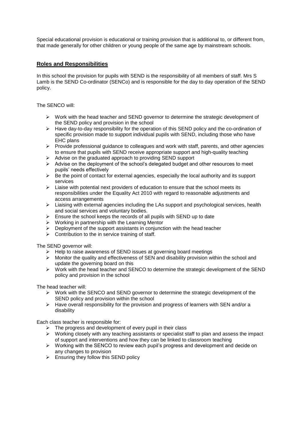Special educational provision is educational or training provision that is additional to, or different from, that made generally for other children or young people of the same age by mainstream schools.

# **Roles and Responsibilities**

In this school the provision for pupils with SEND is the responsibility of all members of staff. Mrs S Lamb is the SEND Co-ordinator (SENCo) and is responsible for the day to day operation of the SEND policy.

The SENCO will:

- $\triangleright$  Work with the head teacher and SEND governor to determine the strategic development of the SEND policy and provision in the school
- $\triangleright$  Have day-to-day responsibility for the operation of this SEND policy and the co-ordination of specific provision made to support individual pupils with SEND, including those who have EHC plans
- $\triangleright$  Provide professional guidance to colleagues and work with staff, parents, and other agencies to ensure that pupils with SEND receive appropriate support and high-quality teaching
- $\triangleright$  Advise on the graduated approach to providing SEND support
- $\triangleright$  Advise on the deployment of the school's delegated budget and other resources to meet pupils' needs effectively
- $\triangleright$  Be the point of contact for external agencies, especially the local authority and its support services
- $\triangleright$  Liaise with potential next providers of education to ensure that the school meets its responsibilities under the Equality Act 2010 with regard to reasonable adjustments and access arrangements
- $\triangleright$  Liaising with external agencies including the LAs support and psychological services, health and social services and voluntary bodies.
- $\triangleright$  Ensure the school keeps the records of all pupils with SEND up to date
- $\triangleright$  Working in partnership with the Learning Mentor
- $\triangleright$  Deployment of the support assistants in conjunction with the head teacher
- $\triangleright$  Contribution to the in service training of staff.

The SEND governor will:

- 
- $\triangleright$  Help to raise awareness of SEND issues at governing board meetings  $\triangleright$  Monitor the quality and effectiveness of SEN and disability provision wi Monitor the quality and effectiveness of SEN and disability provision within the school and update the governing board on this
- $\triangleright$  Work with the head teacher and SENCO to determine the strategic development of the SEND policy and provision in the school

The head teacher will:

- $\triangleright$  Work with the SENCO and SEND governor to determine the strategic development of the SEND policy and provision within the school
- $\triangleright$  Have overall responsibility for the provision and progress of learners with SEN and/or a disability

Each class teacher is responsible for:

- $\triangleright$  The progress and development of every pupil in their class
- Working closely with any teaching assistants or specialist staff to plan and assess the impact of support and interventions and how they can be linked to classroom teaching
- Working with the SENCO to review each pupil's progress and development and decide on any changes to provision
- $\triangleright$  Ensuring they follow this SEND policy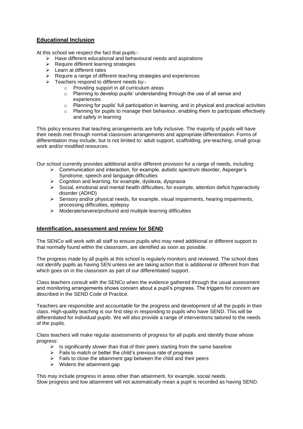# **Educational Inclusion**

At this school we respect the fact that pupils:-

- $\triangleright$  Have different educational and behavioural needs and aspirations
- $\triangleright$  Require different learning strategies
- $\triangleright$  Learn at different rates
- $\triangleright$  Require a range of different teaching strategies and experiences
- $\triangleright$  Teachers respond to different needs by:
	- o Providing support in all curriculum areas
	- o Planning to develop pupils' understanding through the use of all sense and experiences
	- $\circ$  Planning for pupils' full participation in learning, and in physical and practical activities
	- $\circ$  Planning for pupils to manage their behaviour, enabling them to participate effectively and safely in learning

This policy ensures that teaching arrangements are fully inclusive. The majority of pupils will have their needs met through normal classroom arrangements and appropriate differentiation. Forms of differentiation may include, but is not limited to: adult support, scaffolding, pre-teaching, small group work and/or modified resources.

Our school currently provides additional and/or different provision for a range of needs, including:

- $\triangleright$  Communication and interaction, for example, autistic spectrum disorder, Asperger's Syndrome, speech and language difficulties
- $\triangleright$  Cognition and learning, for example, dyslexia, dyspraxia
- $\triangleright$  Social, emotional and mental health difficulties, for example, attention deficit hyperactivity disorder (ADHD)
- $\triangleright$  Sensory and/or physical needs, for example, visual impairments, hearing impairments, processing difficulties, epilepsy
- $\triangleright$  Moderate/severe/profound and multiple learning difficulties

#### **Identification, assessment and review for SEND**

The SENCo will work with all staff to ensure pupils who may need additional or different support to that normally found within the classroom, are identified as soon as possible.

The progress made by all pupils at this school is regularly monitors and reviewed. The school does not identify pupils as having SEN unless we are taking action that is additional or different from that which goes on in the classroom as part of our differentiated support.

Class teachers consult with the SENCo when the evidence gathered through the usual assessment and monitoring arrangements shows concern about a pupil's progress. The triggers for concern are described in the SEND Code of Practice.

Teachers are responsible and accountable for the progress and development of all the pupils in their class. High-quality teaching is our first step in responding to pupils who have SEND. This will be differentiated for individual pupils. We will also provide a range of interventions tailored to the needs of the pupils.

Class teachers will make regular assessments of progress for all pupils and identify those whose progress:

- $\triangleright$  Is significantly slower than that of their peers starting from the same baseline
- $\triangleright$  Fails to match or better the child's previous rate of progress
- $\triangleright$  Fails to close the attainment gap between the child and their peers
- $\triangleright$  Widens the attainment gap

This may include progress in areas other than attainment, for example, social needs. Slow progress and low attainment will not automatically mean a pupil is recorded as having SEND.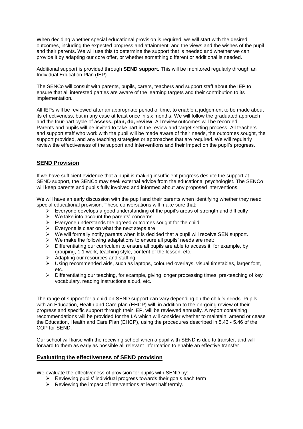When deciding whether special educational provision is required, we will start with the desired outcomes, including the expected progress and attainment, and the views and the wishes of the pupil and their parents. We will use this to determine the support that is needed and whether we can provide it by adapting our core offer, or whether something different or additional is needed.

Additional support is provided through **SEND support.** This will be monitored regularly through an Individual Education Plan (IEP).

The SENCo will consult with parents, pupils, carers, teachers and support staff about the IEP to ensure that all interested parties are aware of the learning targets and their contribution to its implementation.

All IEPs will be reviewed after an appropriate period of time, to enable a judgement to be made about its effectiveness, but in any case at least once in six months. We will follow the graduated approach and the four-part cycle of **assess, plan, do, review**. All review outcomes will be recorded. Parents and pupils will be invited to take part in the review and target setting process. All teachers and support staff who work with the pupil will be made aware of their needs, the outcomes sought, the support provided, and any teaching strategies or approaches that are required. We will regularly review the effectiveness of the support and interventions and their impact on the pupil's progress.

## **SEND Provision**

If we have sufficient evidence that a pupil is making insufficient progress despite the support at SEND support, the SENCo may seek external advice from the educational psychologist. The SENCo will keep parents and pupils fully involved and informed about any proposed interventions.

We will have an early discussion with the pupil and their parents when identifying whether they need special educational provision. These conversations will make sure that:

- $\triangleright$  Everyone develops a good understanding of the pupil's areas of strength and difficulty
- $\triangleright$  We take into account the parents' concerns
- $\triangleright$  Everyone understands the agreed outcomes sought for the child
- $\triangleright$  Everyone is clear on what the next steps are
- $\triangleright$  We will formally notify parents when it is decided that a pupil will receive SEN support.
- $\triangleright$  We make the following adaptations to ensure all pupils' needs are met:
- $\triangleright$  Differentiating our curriculum to ensure all pupils are able to access it, for example, by grouping, 1:1 work, teaching style, content of the lesson, etc.
- $\triangleright$  Adapting our resources and staffing
- $\triangleright$  Using recommended aids, such as laptops, coloured overlays, visual timetables, larger font, etc.
- $\triangleright$  Differentiating our teaching, for example, giving longer processing times, pre-teaching of key vocabulary, reading instructions aloud, etc.

The range of support for a child on SEND support can vary depending on the child's needs. Pupils with an Education, Health and Care plan (EHCP) will, in addition to the on-going review of their progress and specific support through their IEP, will be reviewed annually. A report containing recommendations will be provided for the LA which will consider whether to maintain, amend or cease the Education, Health and Care Plan (EHCP), using the procedures described in 5.43 - 5.46 of the COP for SEND.

Our school will liaise with the receiving school when a pupil with SEND is due to transfer, and will forward to them as early as possible all relevant information to enable an effective transfer.

#### **Evaluating the effectiveness of SEND provision**

We evaluate the effectiveness of provision for pupils with SEND by:

- $\triangleright$  Reviewing pupils' individual progress towards their goals each term
- $\triangleright$  Reviewing the impact of interventions at least half termly.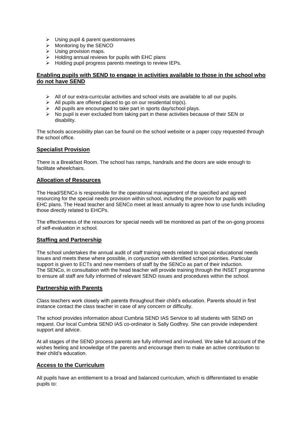- $\triangleright$  Using pupil & parent questionnaires
- $\triangleright$  Monitoring by the SENCO
- $\triangleright$  Using provision maps.
- $\triangleright$  Holding annual reviews for pupils with EHC plans
- $\triangleright$  Holding pupil progress parents meetings to review IEPs.

#### **Enabling pupils with SEND to engage in activities available to those in the school who do not have SEND**

- $\triangleright$  All of our extra-curricular activities and school visits are available to all our pupils.
- $\triangleright$  All pupils are offered placed to go on our residential trip(s).
- > All pupils are encouraged to take part in sports day/school plays.
- $\triangleright$  No pupil is ever excluded from taking part in these activities because of their SEN or disability.

The schools accessibility plan can be found on the school website or a paper copy requested through the school office.

#### **Specialist Provision**

There is a Breakfast Room. The school has ramps, handrails and the doors are wide enough to facilitate wheelchairs.

## **Allocation of Resources**

The Head/SENCo is responsible for the operational management of the specified and agreed resourcing for the special needs provision within school, including the provision for pupils with EHC plans. The Head teacher and SENCo meet at least annually to agree how to use funds including those directly related to EHCPs.

The effectiveness of the resources for special needs will be monitored as part of the on-gong process of self-evaluation in school.

# **Staffing and Partnership**

The school undertakes the annual audit of staff training needs related to special educational needs issues and meets these where possible, in conjunction with identified school priorities. Particular support is given to ECTs and new members of staff by the SENCo as part of their induction. The SENCo, in consultation with the head teacher will provide training through the INSET programme to ensure all staff are fully informed of relevant SEND issues and procedures within the school.

#### **Partnership with Parents**

Class teachers work closely with parents throughout their child's education. Parents should in first instance contact the class teacher in case of any concern or difficulty.

The school provides information about Cumbria SEND IAS Service to all students with SEND on request. Our local Cumbria SEND IAS co-ordinator is Sally Godfrey. She can provide independent support and advice.

At all stages of the SEND process parents are fully informed and involved. We take full account of the wishes feeling and knowledge of the parents and encourage them to make an active contribution to their child's education.

# **Access to the Curriculum**

All pupils have an entitlement to a broad and balanced curriculum, which is differentiated to enable pupils to: